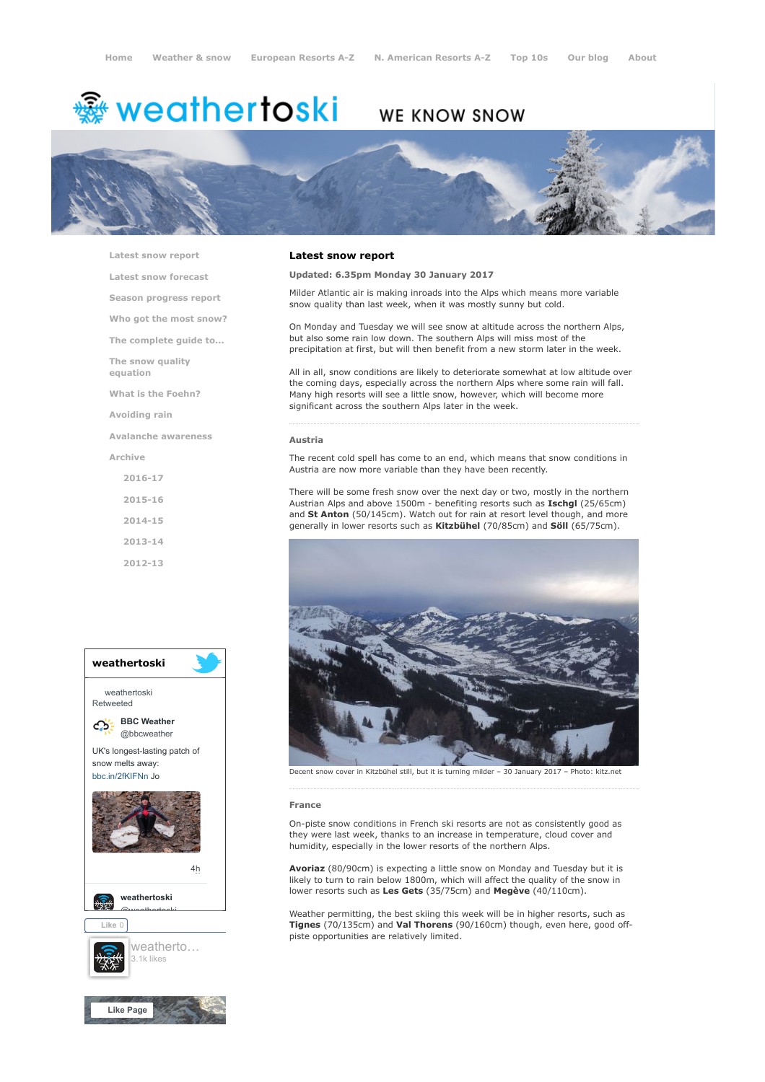# **※ weathertoski**

# WE KNOW SNOW



[Latest snow report](https://www.weathertoski.co.uk/weather-snow/latest-snow-report/)

[Latest snow forecast](https://www.weathertoski.co.uk/weather-snow/latest-snow-forecast/)

[Season progress report](https://www.weathertoski.co.uk/weather-snow/season-progress-report/)

[Who got the most snow?](https://www.weathertoski.co.uk/weather-snow/who-got-the-most-snow/)

[The complete guide to...](https://www.weathertoski.co.uk/weather-snow/the-complete-guide-to/)

[The snow quality](https://www.weathertoski.co.uk/weather-snow/the-snow-quality-equation/)

[What is the Foehn?](https://www.weathertoski.co.uk/weather-snow/what-is-the-foehn/)

[Avoiding rain](https://www.weathertoski.co.uk/weather-snow/avoiding-rain/)

equation

[Avalanche awareness](https://www.weathertoski.co.uk/weather-snow/avalanche-awareness/)

[Archive](https://www.weathertoski.co.uk/weather-snow/archive/)

[2016-17](https://www.weathertoski.co.uk/weather-snow/archive/2016-17/) [2015-16](https://www.weathertoski.co.uk/weather-snow/archive/2015-16/) [2014-15](https://www.weathertoski.co.uk/weather-snow/archive/2014-15/) [2013-14](https://www.weathertoski.co.uk/weather-snow/archive/2013-14/)

[2012-13](https://www.weathertoski.co.uk/weather-snow/archive/2012-13/)



## Latest snow report

# Updated: 6.35pm Monday 30 January 2017

Milder Atlantic air is making inroads into the Alps which means more variable snow quality than last week, when it was mostly sunny but cold.

On Monday and Tuesday we will see snow at altitude across the northern Alps, but also some rain low down. The southern Alps will miss most of the precipitation at first, but will then benefit from a new storm later in the week.

All in all, snow conditions are likely to deteriorate somewhat at low altitude over the coming days, especially across the northern Alps where some rain will fall. Many high resorts will see a little snow, however, which will become more significant across the southern Alps later in the week.

#### Austria

The recent cold spell has come to an end, which means that snow conditions in Austria are now more variable than they have been recently.

There will be some fresh snow over the next day or two, mostly in the northern Austrian Alps and above 1500m - benefiting resorts such as Ischgl (25/65cm) and St Anton (50/145cm). Watch out for rain at resort level though, and more generally in lower resorts such as Kitzbühel (70/85cm) and Söll (65/75cm).



Decent snow cover in Kitzbühel still, but it is turning milder – 30 January 2017 – Photo: kitz.net

#### France

On-piste snow conditions in French ski resorts are not as consistently good as they were last week, thanks to an increase in temperature, cloud cover and humidity, especially in the lower resorts of the northern Alps.

Avoriaz (80/90cm) is expecting a little snow on Monday and Tuesday but it is likely to turn to rain below 1800m, which will affect the quality of the snow in lower resorts such as Les Gets (35/75cm) and Megève (40/110cm).

Weather permitting, the best skiing this week will be in higher resorts, such as Tignes (70/135cm) and Val Thorens (90/160cm) though, even here, good offpiste opportunities are relatively limited.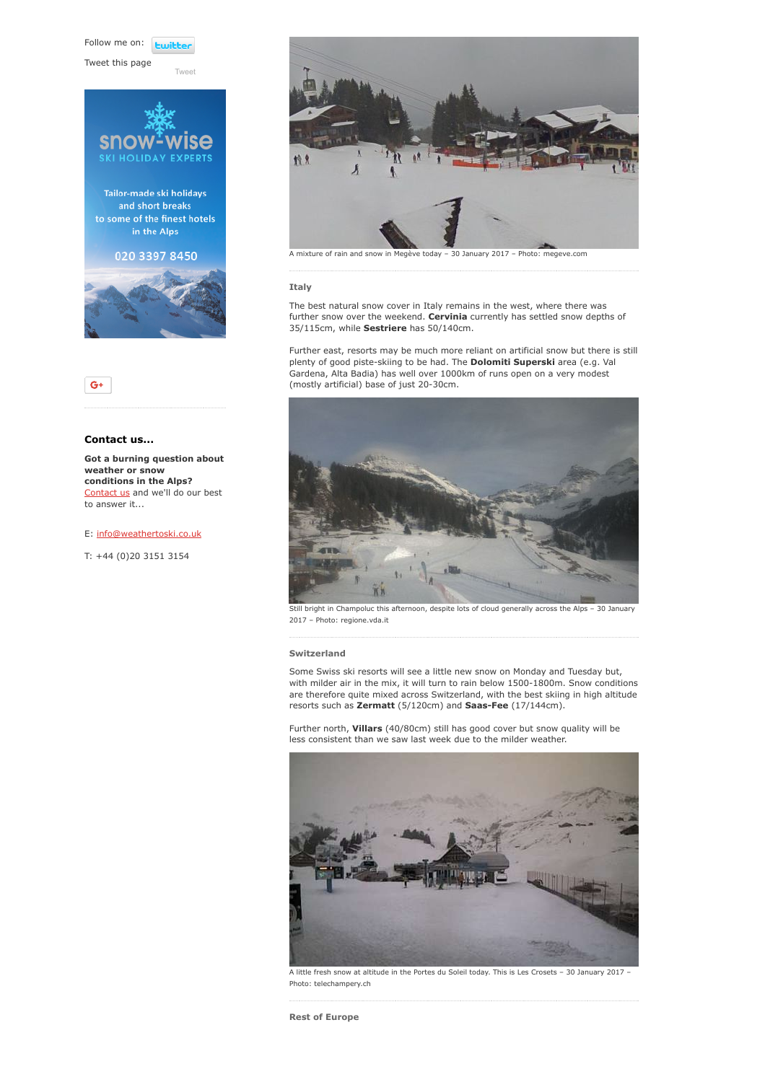Follow me on: **Ewitte** 

[Tweet](https://twitter.com/intent/tweet?original_referer=https%3A%2F%2Fwww.weathertoski.co.uk%2Fweather-snow%2Farchive%2Fsnow-report-30-01-2017%2F&ref_src=twsrc%5Etfw&text=Weather%20to%20ski%20-%20Snow%20report%20-%2030%20January%202017&tw_p=tweetbutton&url=https%3A%2F%2Fwww.weathertoski.co.uk%2Fweather-snow%2Farchive%2Fsnow-report-30-01-2017%2F)

Tweet this page





# Contact us...

Got a burning question about weather or snow conditions in the Alps? [Contact us](https://www.weathertoski.co.uk/about-1/contact-us/) and we'll do our best to answer it...

#### E: [info@weathertoski.co.uk](mailto:fraser@weathertoski.co.uk)

T: +44 (0)20 3151 3154



A mixture of rain and snow in Megève today – 30 January 2017 – Photo: megeve.com

## Italy

The best natural snow cover in Italy remains in the west, where there was further snow over the weekend. Cervinia currently has settled snow depths of 35/115cm, while Sestriere has 50/140cm.

Further east, resorts may be much more reliant on artificial snow but there is still plenty of good piste-skiing to be had. The **Dolomiti Superski** area (e.g. Val Gardena, Alta Badia) has well over 1000km of runs open on a very modest (mostly artificial) base of just 20-30cm.



Still bright in Champoluc this afternoon, despite lots of cloud generally across the Alps – 30 January 2017 – Photo: regione.vda.it

#### Switzerland

Some Swiss ski resorts will see a little new snow on Monday and Tuesday but, with milder air in the mix, it will turn to rain below 1500-1800m. Snow conditions are therefore quite mixed across Switzerland, with the best skiing in high altitude resorts such as Zermatt (5/120cm) and Saas-Fee (17/144cm).

Further north, Villars (40/80cm) still has good cover but snow quality will be less consistent than we saw last week due to the milder weather.



A little fresh snow at altitude in the Portes du Soleil today. This is Les Crosets – 30 January 2017 – Photo: telechampery.ch

Rest of Europe